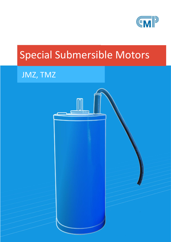

# Special Submersible Motors

## JMZ, TMZ